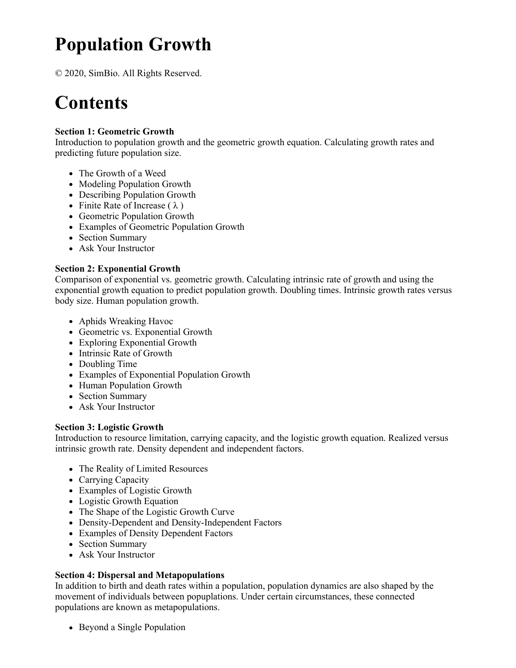# **Population Growth**

© 2020, SimBio. All Rights Reserved.

# **Contents**

# **Section 1: Geometric Growth**

Introduction to population growth and the geometric growth equation. Calculating growth rates and predicting future population size.

- The Growth of a Weed
- Modeling Population Growth
- Describing Population Growth
- Finite Rate of Increase  $(\lambda)$
- Geometric Population Growth
- Examples of Geometric Population Growth
- Section Summary
- Ask Your Instructor

# **Section 2: Exponential Growth**

Comparison of exponential vs. geometric growth. Calculating intrinsic rate of growth and using the exponential growth equation to predict population growth. Doubling times. Intrinsic growth rates versus body size. Human population growth.

- Aphids Wreaking Havoc
- Geometric vs. Exponential Growth
- Exploring Exponential Growth
- Intrinsic Rate of Growth
- Doubling Time
- Examples of Exponential Population Growth
- Human Population Growth
- Section Summary
- Ask Your Instructor

# **Section 3: Logistic Growth**

Introduction to resource limitation, carrying capacity, and the logistic growth equation. Realized versus intrinsic growth rate. Density dependent and independent factors.

- The Reality of Limited Resources
- Carrying Capacity
- Examples of Logistic Growth
- Logistic Growth Equation
- The Shape of the Logistic Growth Curve
- Density-Dependent and Density-Independent Factors
- Examples of Density Dependent Factors
- Section Summary
- Ask Your Instructor

# **Section 4: Dispersal and Metapopulations**

In addition to birth and death rates within a population, population dynamics are also shaped by the movement of individuals between popuplations. Under certain circumstances, these connected populations are known as metapopulations.

• Beyond a Single Population